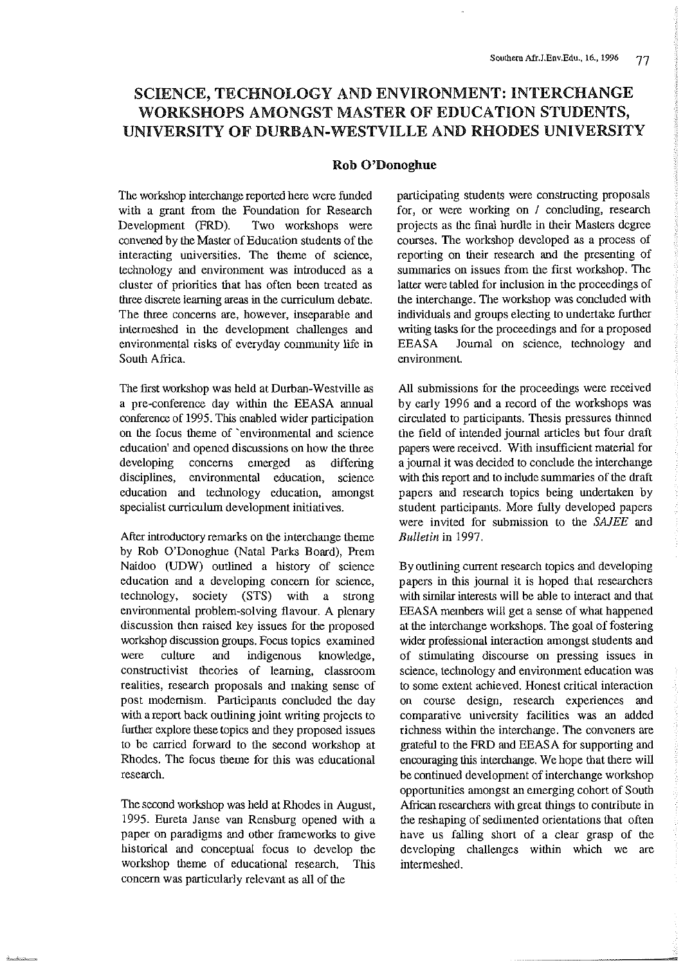## SCIENCE, TECHNOLOGY AND ENVIRONMENT: INTERCHANGE WORKSHOPS AMONGST MASTER OF EDUCATION STUDENTS, UNIVERSITY OF DURBAN-WESTVILLE AND RHODES UNIVERSITY

#### Rob O'Donoghue

The workshop interchange reported here were funded with a grant from the Foundation for Research Development (FRD). Two workshops were convened by the Master of Education students of the interacting universities. The theme of science, technology and environment was introduced as a cluster of priorities that has often been treated as three discrete learning areas in the curriculum debate. The three concerns are, however, inseparable and intermeshed in the development challenges and environmental risks of everyday community life in South Africa.

The first workshop was held at Durban-Westville as a pre-conference day within the EEASA annual conference of 1995. This enabled wider participation on the focus theme of 'environmental and science education' and opened discussions on how the three developing concerns emerged as differing disciplines, environmental education, science education and technology education, amongst specialist curriculum development initiatives.

After introductory remarks on the interchange theme by Rob O'Donoghue (Natal Parks Board), Prem Naidoo (UDW) outlined a history of science education and a developing concern for science, technology, society (STS) with a strong environmental problem-solving flavour. A plenary discussion then raised key issues for the proposed workshop discussion groups. Focus topics examined were culture and indigenous knowledge, constructivist theories of learning, classroom realities, research proposals and making sense of post modernism. Participants concluded the day with a report back outlining joint writing projects to further explore these topics and they proposed issues to be carried forward to the second workshop at Rhodes. The focus theme for this was educational research.

The second workshop was held at Rhodes in August, 1995. Eureta Janse van Rensburg opened with a paper on paradigms and other frameworks to give historical and conceptual focus to develop the workshop theme of educational research. This concern was particularly relevant as all of the

participating students were constructing proposals for, or were working on / concluding, research projects as the final hurdle in their Masters degree courses. The workshop developed as a process of reporting on their research and the presenting of summaries on issues from the first workshop. The latter were tabled for inclusion in the proceedings of the interchange. The workshop was concluded with individuals and groups electing to undertake further writing tasks for the proceedings and for a proposed EEASA Joumal on science, technology and environment.

All submissions for the proceedings were received by early 1996 and a record of the workshops was circulated to participants. Thesis pressures thinned the field of intended journal articles but four draft papers were received. With insufficient material for a journal it was decided to conclude the interchange with this report and to include summaries of the draft papers and research topics being undertaken by student participants. More fully developed papers were invited for submission to the SAJEE and *Bulletin* in 1997.

By outlining current research topics and developing papers in this journal it is hoped that researchers with similar interests will be able to interact and that EEASA members will get a sense of what happened at the interchange workshops. The goal of fostering wider professional interaction amongst students and of stimulating discourse on pressing issues in science, technology and environment education was to some extent achieved. Honest critical interaction on course design, research experiences and comparative university facilities was an added richness within the interchange. The conveners are grateful to the FRD and EEASA for supporting and encouraging this interchange. We hope that there will be continued development of interchange workshop opportunities amongst an emerging cohort of South African researchers with great things to contribute in the reshaping of sedimented orientations that often have us falling short of a clear grasp of the developing challenges within which we are intermeshed.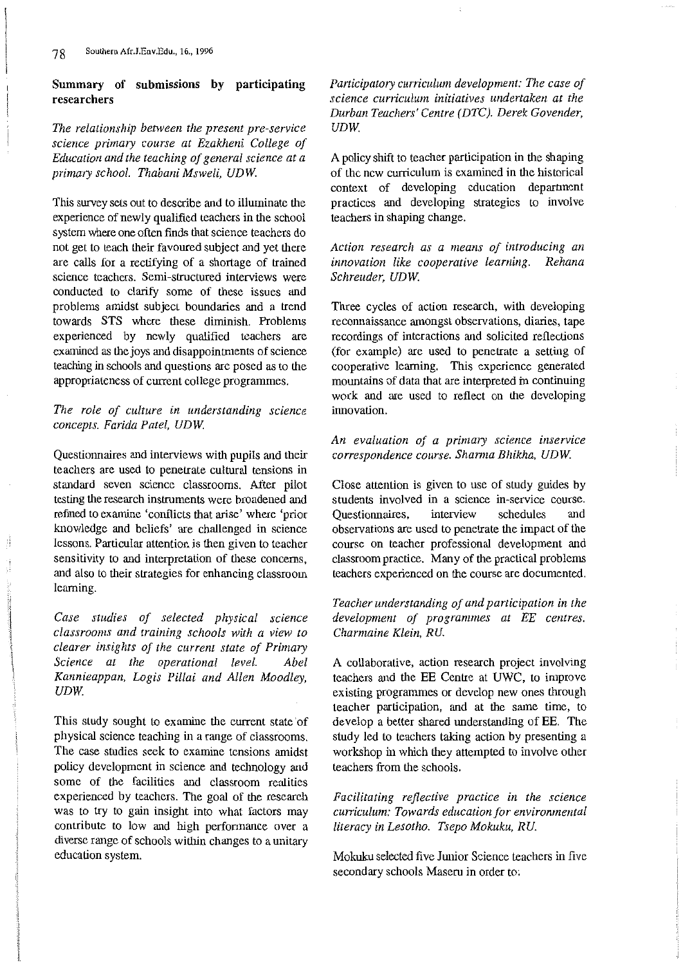### Summary of submissions by participating researchers

*The relationship between the present pre-service*  science primary course at Ezakheni College of *Education and the teaching of general science at a primary school. Thabani Msweli, UDW.* 

This survey sets out to describe and to illuminate the experience of newly qualified teachers in the school system where one often finds that science teachers do not get to teach their favoured subject and yet there are calls for a rectifying of a shortage of trained science teachers. Semi-structured interviews were conducted to clarify some of these issues and problems amidst subject boundaries and a trend towards STS where these diminish. Problems experienced by newly qualified teachers are examined as the joys and disappointments of science teaching in schools and questions are posed as to the appropriateness of current college programmes.

#### *The role of culture in understanding science concepts. Farida Patel, UDW.*

Questionnaires and interviews with pupils and their teachers are used to penetrate cultural tensions in standard seven science classrooms. After pilot testing the research instruments were broadened and refmed to examine 'conflicts that arise' where 'prior knowledge and beliefs' are challenged in science lessons. Particular attention is then given to teacher sensitivity to and interpretation of these concerns, and also to their strategies for enhancing classroom learning.

*Case studies of selected physical science classrooms and training schools with a view to clearer insights of the current state of Primary Science at the operational level. Abel Kannieappan, Logis Pillai and Allen Moodley, UDW.* 

This study sought to examine the current state of physical science teaching in a range of classrooms. The case studies seek to examine tensions amidst policy development in science and teclmology and some of the facilities and classroom realities experienced by teachers. The goal of the research was to try to gain insight into what factors may contribute to low and high performance over a diverse range of schools within changes to a unitary education system.

*Panicipatory curriculum development: The case of science curriculum initiatives undertaken at the Durban Teachers' Centre (DTC). Derek Cavender, UDW.* 

A policy shift to teacher participation in the shaping of the new curriculum is exanlined in the historical context of developing education department practices and developing strategies to involve teachers in shaping change.

*Action research as a means of introducing an innovation like cooperative learning. Rehana Schreuder, UDW.* 

Three cycles of action research, with developing reconnaissance amongst observations, diaries, tape recordings of interactions and solicited reflections (for example) are used to penetrate a setting of cooperative learning. This experience generated mountains of data that are interpreted in continuing work and are used to reflect on the developing innovation.

#### *An evaluation of a primary science inservice*   $correspondence course.$  Sharma Bhikha, UDW.

Close attention is given to use of study guides by students involved in a science in-service course. Questionnaires, interview schedules and observations are used to penetrate the impact of the course on teacher professional development and classroom practice. Many of the practical problems teachers experienced on the course are documented.

#### *Teacher understanding of and participation in the development of programmes at EE centres. Charmaine Klein, RU.*

A collaborative, action research project involving teachers and the EE Centre at UWC, to improve existing programmes or develop new ones through teacher participation, and at the same time, to develop a better shared understanding of EE. The study led to teachers taking action by presenting a workshop in which they attempted to involve other teachers from the schools.

*Facilitating reflective practice in the science curriculum: Towards education for environmental literacy in Lesotho. Tsepo Mokuku, RU.* 

Mokuku selected five Junior Science teachers in five secondary schools Maseru in order to;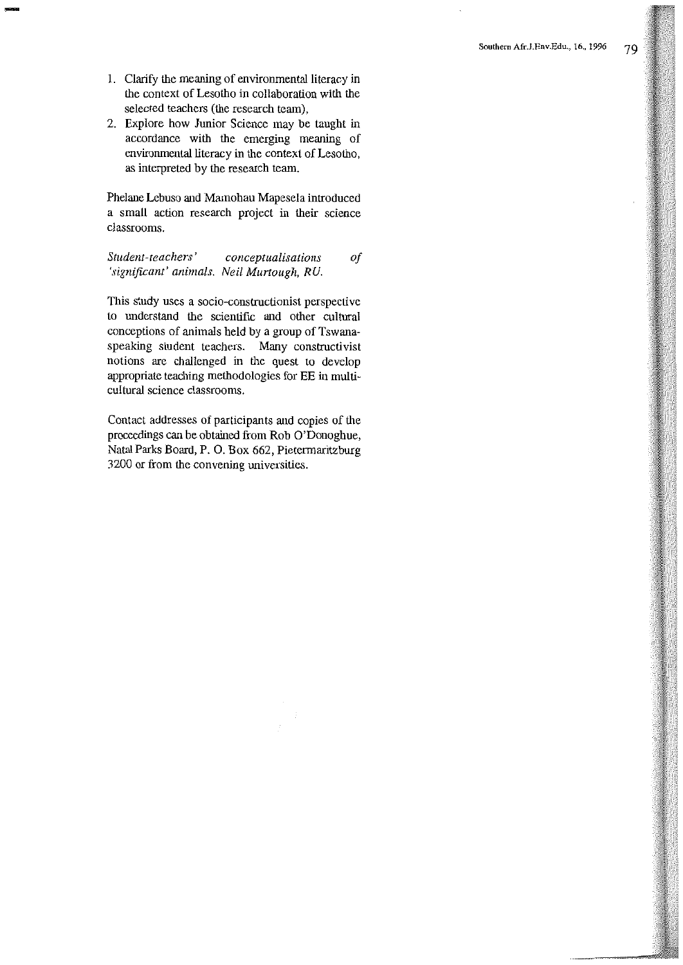1. Clarify the meaning of environmental literacy in the context of Lesotho in collaboration with the selected teachers (the research team),

-<br>-<br>-<br>-<br>-

2. Explore how Junior Science may be taught in accordance with the emerging meaning of environmental literacy in the context of Lesotho, as interpreted by the research team.

Phelane Lebuso and Mamohau Mapesela introduced a small action research project in their science classrooms.

*Student-teachers' conceptualisations of 'significant' animals. Neil Murtaugh, RU.* 

This study uses a socio-constructionist perspective to understand the scientific and other cultural conceptions of animals held by a group of Tswanaspeaking student teachers. Many constructivist notions are challenged in the quest to develop appropriate teaching methodologies for EE in multicultural science classrooms.

Contact addresses of participants and copies of the proceedings can be obtained from Rob O'Donoghue, Natal Parks Board, P. 0. Box 662, Pietermaritzburg 3200 or from the convening universities.